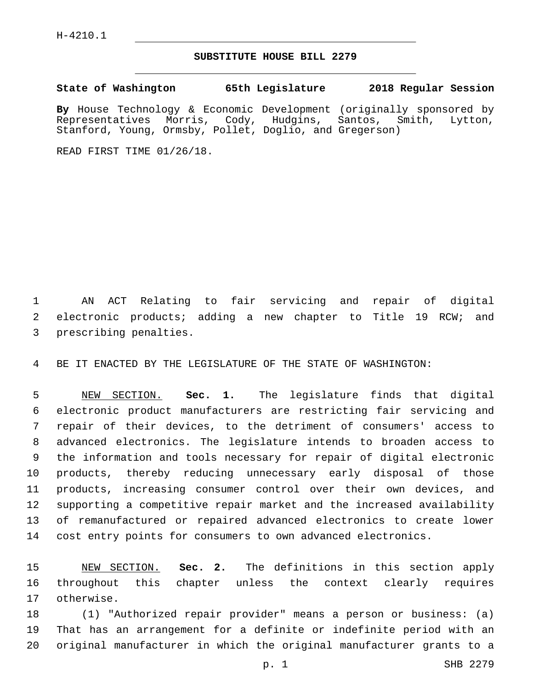## **SUBSTITUTE HOUSE BILL 2279**

**State of Washington 65th Legislature 2018 Regular Session**

**By** House Technology & Economic Development (originally sponsored by Representatives Morris, Cody, Hudgins, Santos, Smith, Lytton, Stanford, Young, Ormsby, Pollet, Doglio, and Gregerson)

READ FIRST TIME 01/26/18.

 AN ACT Relating to fair servicing and repair of digital electronic products; adding a new chapter to Title 19 RCW; and 3 prescribing penalties.

BE IT ENACTED BY THE LEGISLATURE OF THE STATE OF WASHINGTON:

 NEW SECTION. **Sec. 1.** The legislature finds that digital electronic product manufacturers are restricting fair servicing and repair of their devices, to the detriment of consumers' access to advanced electronics. The legislature intends to broaden access to the information and tools necessary for repair of digital electronic products, thereby reducing unnecessary early disposal of those products, increasing consumer control over their own devices, and supporting a competitive repair market and the increased availability of remanufactured or repaired advanced electronics to create lower cost entry points for consumers to own advanced electronics.

 NEW SECTION. **Sec. 2.** The definitions in this section apply throughout this chapter unless the context clearly requires otherwise.

 (1) "Authorized repair provider" means a person or business: (a) That has an arrangement for a definite or indefinite period with an original manufacturer in which the original manufacturer grants to a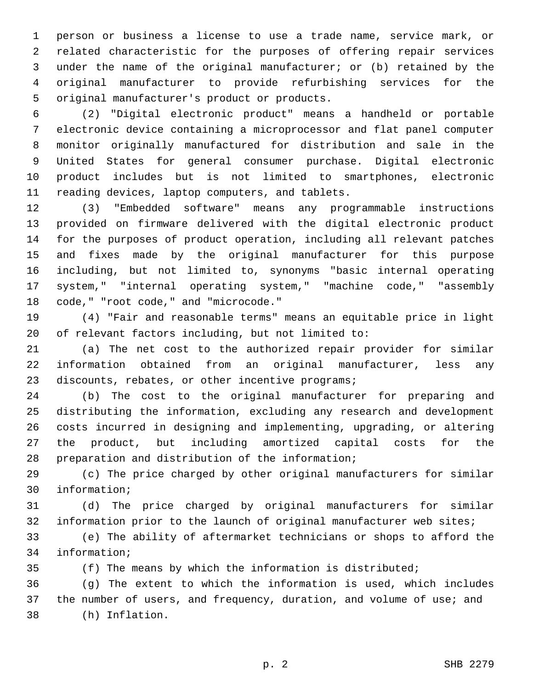person or business a license to use a trade name, service mark, or related characteristic for the purposes of offering repair services under the name of the original manufacturer; or (b) retained by the original manufacturer to provide refurbishing services for the 5 original manufacturer's product or products.

 (2) "Digital electronic product" means a handheld or portable electronic device containing a microprocessor and flat panel computer monitor originally manufactured for distribution and sale in the United States for general consumer purchase. Digital electronic product includes but is not limited to smartphones, electronic 11 reading devices, laptop computers, and tablets.

 (3) "Embedded software" means any programmable instructions provided on firmware delivered with the digital electronic product for the purposes of product operation, including all relevant patches and fixes made by the original manufacturer for this purpose including, but not limited to, synonyms "basic internal operating system," "internal operating system," "machine code," "assembly 18 code," "root code," and "microcode."

 (4) "Fair and reasonable terms" means an equitable price in light of relevant factors including, but not limited to:

 (a) The net cost to the authorized repair provider for similar information obtained from an original manufacturer, less any 23 discounts, rebates, or other incentive programs;

 (b) The cost to the original manufacturer for preparing and distributing the information, excluding any research and development costs incurred in designing and implementing, upgrading, or altering the product, but including amortized capital costs for the 28 preparation and distribution of the information;

 (c) The price charged by other original manufacturers for similar 30 information;

 (d) The price charged by original manufacturers for similar information prior to the launch of original manufacturer web sites;

 (e) The ability of aftermarket technicians or shops to afford the 34 information;

(f) The means by which the information is distributed;

 (g) The extent to which the information is used, which includes the number of users, and frequency, duration, and volume of use; and (h) Inflation.38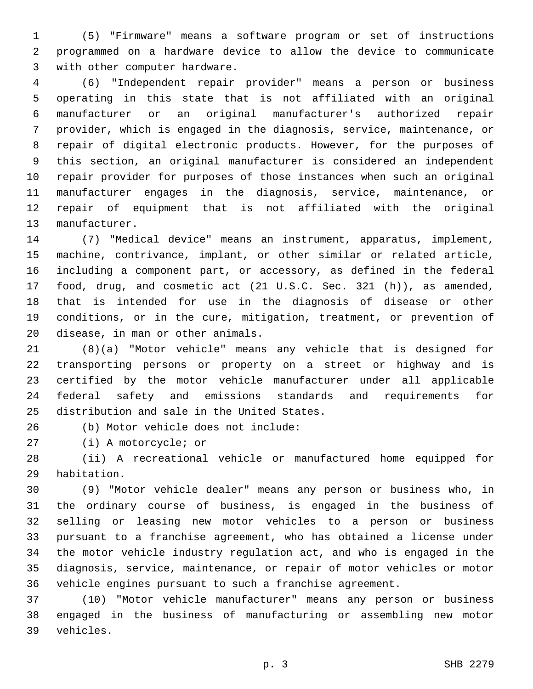(5) "Firmware" means a software program or set of instructions programmed on a hardware device to allow the device to communicate 3 with other computer hardware.

 (6) "Independent repair provider" means a person or business operating in this state that is not affiliated with an original manufacturer or an original manufacturer's authorized repair provider, which is engaged in the diagnosis, service, maintenance, or repair of digital electronic products. However, for the purposes of this section, an original manufacturer is considered an independent repair provider for purposes of those instances when such an original manufacturer engages in the diagnosis, service, maintenance, or repair of equipment that is not affiliated with the original 13 manufacturer.

 (7) "Medical device" means an instrument, apparatus, implement, machine, contrivance, implant, or other similar or related article, including a component part, or accessory, as defined in the federal food, drug, and cosmetic act (21 U.S.C. Sec. 321 (h)), as amended, that is intended for use in the diagnosis of disease or other conditions, or in the cure, mitigation, treatment, or prevention of 20 disease, in man or other animals.

 (8)(a) "Motor vehicle" means any vehicle that is designed for transporting persons or property on a street or highway and is certified by the motor vehicle manufacturer under all applicable federal safety and emissions standards and requirements for 25 distribution and sale in the United States.

(b) Motor vehicle does not include:26

27 (i) A motorcycle; or

 (ii) A recreational vehicle or manufactured home equipped for 29 habitation.

 (9) "Motor vehicle dealer" means any person or business who, in the ordinary course of business, is engaged in the business of selling or leasing new motor vehicles to a person or business pursuant to a franchise agreement, who has obtained a license under the motor vehicle industry regulation act, and who is engaged in the diagnosis, service, maintenance, or repair of motor vehicles or motor vehicle engines pursuant to such a franchise agreement.

 (10) "Motor vehicle manufacturer" means any person or business engaged in the business of manufacturing or assembling new motor vehicles.39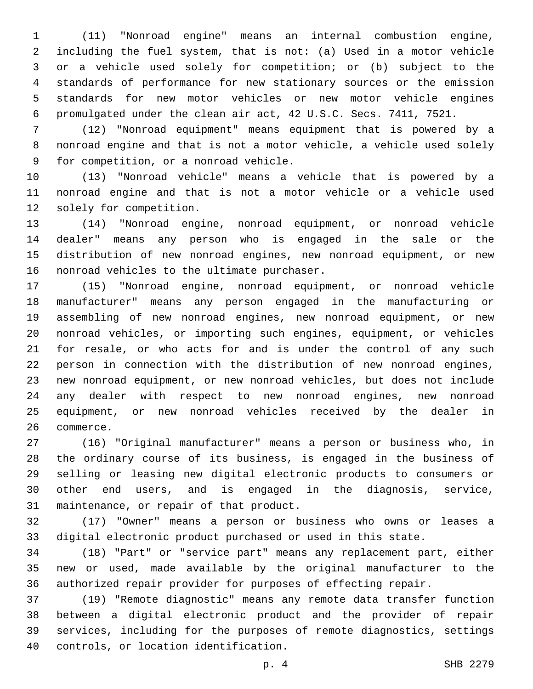(11) "Nonroad engine" means an internal combustion engine, including the fuel system, that is not: (a) Used in a motor vehicle or a vehicle used solely for competition; or (b) subject to the standards of performance for new stationary sources or the emission standards for new motor vehicles or new motor vehicle engines promulgated under the clean air act, 42 U.S.C. Secs. 7411, 7521.

 (12) "Nonroad equipment" means equipment that is powered by a nonroad engine and that is not a motor vehicle, a vehicle used solely 9 for competition, or a nonroad vehicle.

 (13) "Nonroad vehicle" means a vehicle that is powered by a nonroad engine and that is not a motor vehicle or a vehicle used 12 solely for competition.

 (14) "Nonroad engine, nonroad equipment, or nonroad vehicle dealer" means any person who is engaged in the sale or the distribution of new nonroad engines, new nonroad equipment, or new 16 nonroad vehicles to the ultimate purchaser.

 (15) "Nonroad engine, nonroad equipment, or nonroad vehicle manufacturer" means any person engaged in the manufacturing or assembling of new nonroad engines, new nonroad equipment, or new nonroad vehicles, or importing such engines, equipment, or vehicles for resale, or who acts for and is under the control of any such person in connection with the distribution of new nonroad engines, new nonroad equipment, or new nonroad vehicles, but does not include any dealer with respect to new nonroad engines, new nonroad equipment, or new nonroad vehicles received by the dealer in 26 commerce.

 (16) "Original manufacturer" means a person or business who, in the ordinary course of its business, is engaged in the business of selling or leasing new digital electronic products to consumers or other end users, and is engaged in the diagnosis, service, 31 maintenance, or repair of that product.

 (17) "Owner" means a person or business who owns or leases a digital electronic product purchased or used in this state.

 (18) "Part" or "service part" means any replacement part, either new or used, made available by the original manufacturer to the authorized repair provider for purposes of effecting repair.

 (19) "Remote diagnostic" means any remote data transfer function between a digital electronic product and the provider of repair services, including for the purposes of remote diagnostics, settings 40 controls, or location identification.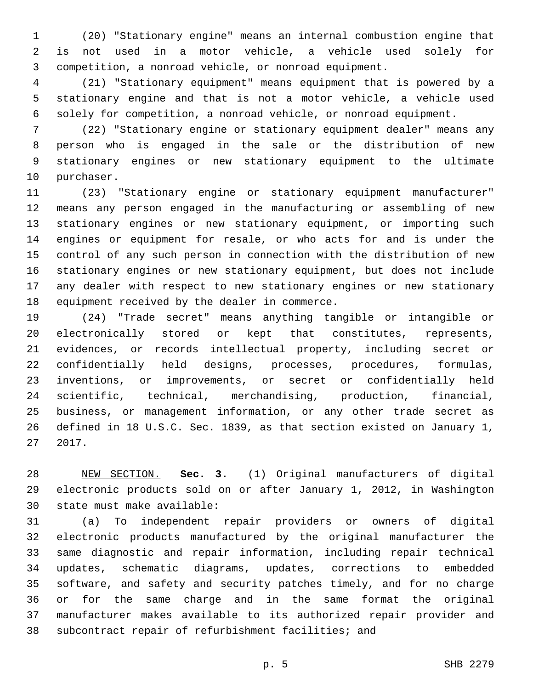(20) "Stationary engine" means an internal combustion engine that is not used in a motor vehicle, a vehicle used solely for competition, a nonroad vehicle, or nonroad equipment.

 (21) "Stationary equipment" means equipment that is powered by a stationary engine and that is not a motor vehicle, a vehicle used solely for competition, a nonroad vehicle, or nonroad equipment.

 (22) "Stationary engine or stationary equipment dealer" means any person who is engaged in the sale or the distribution of new stationary engines or new stationary equipment to the ultimate 10 purchaser.

 (23) "Stationary engine or stationary equipment manufacturer" means any person engaged in the manufacturing or assembling of new stationary engines or new stationary equipment, or importing such engines or equipment for resale, or who acts for and is under the control of any such person in connection with the distribution of new stationary engines or new stationary equipment, but does not include any dealer with respect to new stationary engines or new stationary 18 equipment received by the dealer in commerce.

 (24) "Trade secret" means anything tangible or intangible or electronically stored or kept that constitutes, represents, evidences, or records intellectual property, including secret or confidentially held designs, processes, procedures, formulas, inventions, or improvements, or secret or confidentially held scientific, technical, merchandising, production, financial, business, or management information, or any other trade secret as defined in 18 U.S.C. Sec. 1839, as that section existed on January 1, 2017.

 NEW SECTION. **Sec. 3.** (1) Original manufacturers of digital electronic products sold on or after January 1, 2012, in Washington state must make available:

 (a) To independent repair providers or owners of digital electronic products manufactured by the original manufacturer the same diagnostic and repair information, including repair technical updates, schematic diagrams, updates, corrections to embedded software, and safety and security patches timely, and for no charge or for the same charge and in the same format the original manufacturer makes available to its authorized repair provider and subcontract repair of refurbishment facilities; and

p. 5 SHB 2279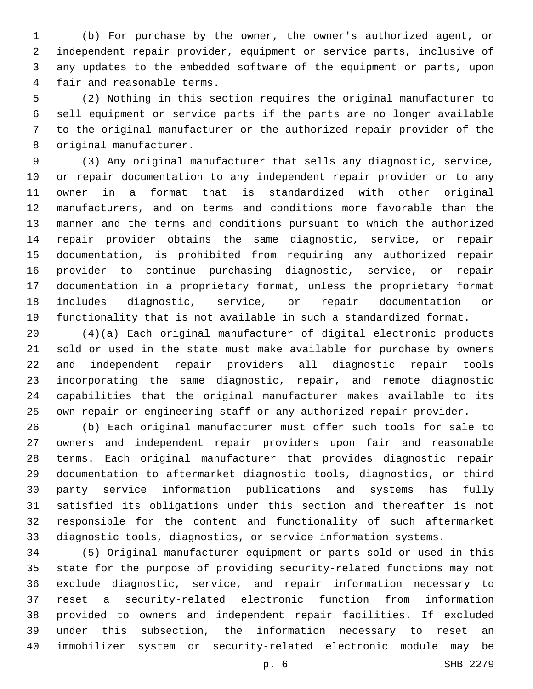(b) For purchase by the owner, the owner's authorized agent, or independent repair provider, equipment or service parts, inclusive of any updates to the embedded software of the equipment or parts, upon 4 fair and reasonable terms.

 (2) Nothing in this section requires the original manufacturer to sell equipment or service parts if the parts are no longer available to the original manufacturer or the authorized repair provider of the 8 original manufacturer.

 (3) Any original manufacturer that sells any diagnostic, service, or repair documentation to any independent repair provider or to any owner in a format that is standardized with other original manufacturers, and on terms and conditions more favorable than the manner and the terms and conditions pursuant to which the authorized repair provider obtains the same diagnostic, service, or repair documentation, is prohibited from requiring any authorized repair provider to continue purchasing diagnostic, service, or repair documentation in a proprietary format, unless the proprietary format includes diagnostic, service, or repair documentation or functionality that is not available in such a standardized format.

 (4)(a) Each original manufacturer of digital electronic products sold or used in the state must make available for purchase by owners and independent repair providers all diagnostic repair tools incorporating the same diagnostic, repair, and remote diagnostic capabilities that the original manufacturer makes available to its own repair or engineering staff or any authorized repair provider.

 (b) Each original manufacturer must offer such tools for sale to owners and independent repair providers upon fair and reasonable terms. Each original manufacturer that provides diagnostic repair documentation to aftermarket diagnostic tools, diagnostics, or third party service information publications and systems has fully satisfied its obligations under this section and thereafter is not responsible for the content and functionality of such aftermarket diagnostic tools, diagnostics, or service information systems.

 (5) Original manufacturer equipment or parts sold or used in this state for the purpose of providing security-related functions may not exclude diagnostic, service, and repair information necessary to reset a security-related electronic function from information provided to owners and independent repair facilities. If excluded under this subsection, the information necessary to reset an immobilizer system or security-related electronic module may be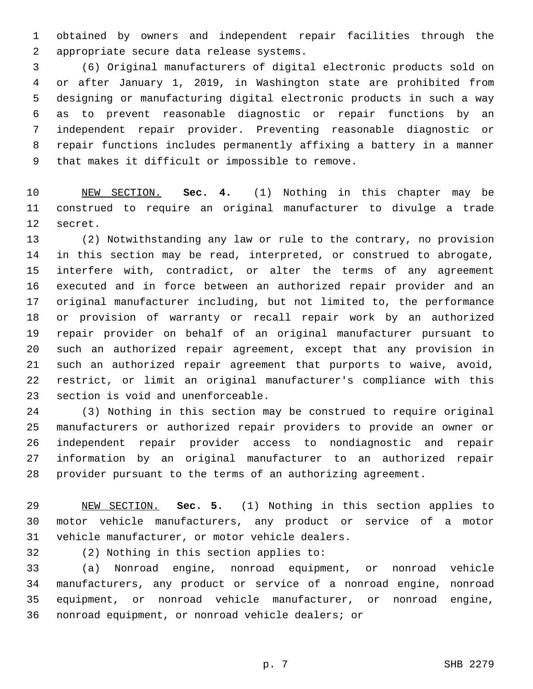obtained by owners and independent repair facilities through the 2 appropriate secure data release systems.

 (6) Original manufacturers of digital electronic products sold on or after January 1, 2019, in Washington state are prohibited from designing or manufacturing digital electronic products in such a way as to prevent reasonable diagnostic or repair functions by an independent repair provider. Preventing reasonable diagnostic or repair functions includes permanently affixing a battery in a manner 9 that makes it difficult or impossible to remove.

 NEW SECTION. **Sec. 4.** (1) Nothing in this chapter may be construed to require an original manufacturer to divulge a trade secret.

 (2) Notwithstanding any law or rule to the contrary, no provision in this section may be read, interpreted, or construed to abrogate, interfere with, contradict, or alter the terms of any agreement executed and in force between an authorized repair provider and an original manufacturer including, but not limited to, the performance or provision of warranty or recall repair work by an authorized repair provider on behalf of an original manufacturer pursuant to such an authorized repair agreement, except that any provision in such an authorized repair agreement that purports to waive, avoid, restrict, or limit an original manufacturer's compliance with this 23 section is void and unenforceable.

 (3) Nothing in this section may be construed to require original manufacturers or authorized repair providers to provide an owner or independent repair provider access to nondiagnostic and repair information by an original manufacturer to an authorized repair provider pursuant to the terms of an authorizing agreement.

 NEW SECTION. **Sec. 5.** (1) Nothing in this section applies to motor vehicle manufacturers, any product or service of a motor vehicle manufacturer, or motor vehicle dealers.

32 (2) Nothing in this section applies to:

 (a) Nonroad engine, nonroad equipment, or nonroad vehicle manufacturers, any product or service of a nonroad engine, nonroad equipment, or nonroad vehicle manufacturer, or nonroad engine, 36 nonroad equipment, or nonroad vehicle dealers; or